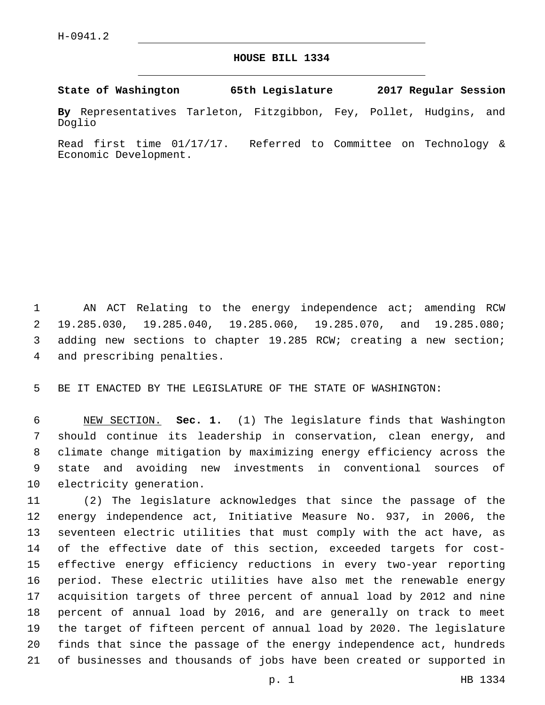## **HOUSE BILL 1334**

**State of Washington 65th Legislature 2017 Regular Session**

**By** Representatives Tarleton, Fitzgibbon, Fey, Pollet, Hudgins, and Doglio

Read first time 01/17/17. Referred to Committee on Technology & Economic Development.

1 AN ACT Relating to the energy independence act; amending RCW 19.285.030, 19.285.040, 19.285.060, 19.285.070, and 19.285.080; adding new sections to chapter 19.285 RCW; creating a new section; 4 and prescribing penalties.

BE IT ENACTED BY THE LEGISLATURE OF THE STATE OF WASHINGTON:

 NEW SECTION. **Sec. 1.** (1) The legislature finds that Washington should continue its leadership in conservation, clean energy, and climate change mitigation by maximizing energy efficiency across the state and avoiding new investments in conventional sources of electricity generation.

 (2) The legislature acknowledges that since the passage of the energy independence act, Initiative Measure No. 937, in 2006, the seventeen electric utilities that must comply with the act have, as of the effective date of this section, exceeded targets for cost- effective energy efficiency reductions in every two-year reporting period. These electric utilities have also met the renewable energy acquisition targets of three percent of annual load by 2012 and nine percent of annual load by 2016, and are generally on track to meet the target of fifteen percent of annual load by 2020. The legislature finds that since the passage of the energy independence act, hundreds of businesses and thousands of jobs have been created or supported in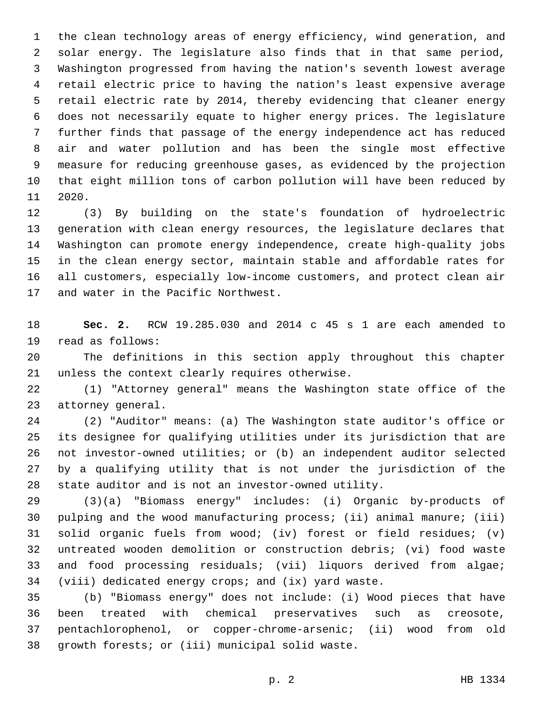the clean technology areas of energy efficiency, wind generation, and solar energy. The legislature also finds that in that same period, Washington progressed from having the nation's seventh lowest average retail electric price to having the nation's least expensive average retail electric rate by 2014, thereby evidencing that cleaner energy does not necessarily equate to higher energy prices. The legislature further finds that passage of the energy independence act has reduced air and water pollution and has been the single most effective measure for reducing greenhouse gases, as evidenced by the projection that eight million tons of carbon pollution will have been reduced by 11 2020.

 (3) By building on the state's foundation of hydroelectric generation with clean energy resources, the legislature declares that Washington can promote energy independence, create high-quality jobs in the clean energy sector, maintain stable and affordable rates for all customers, especially low-income customers, and protect clean air 17 and water in the Pacific Northwest.

 **Sec. 2.** RCW 19.285.030 and 2014 c 45 s 1 are each amended to 19 read as follows:

 The definitions in this section apply throughout this chapter 21 unless the context clearly requires otherwise.

 (1) "Attorney general" means the Washington state office of the 23 attorney general.

 (2) "Auditor" means: (a) The Washington state auditor's office or its designee for qualifying utilities under its jurisdiction that are not investor-owned utilities; or (b) an independent auditor selected by a qualifying utility that is not under the jurisdiction of the state auditor and is not an investor-owned utility.

 (3)(a) "Biomass energy" includes: (i) Organic by-products of pulping and the wood manufacturing process; (ii) animal manure; (iii) solid organic fuels from wood; (iv) forest or field residues; (v) untreated wooden demolition or construction debris; (vi) food waste and food processing residuals; (vii) liquors derived from algae; (viii) dedicated energy crops; and (ix) yard waste.

 (b) "Biomass energy" does not include: (i) Wood pieces that have been treated with chemical preservatives such as creosote, pentachlorophenol, or copper-chrome-arsenic; (ii) wood from old 38 growth forests; or (iii) municipal solid waste.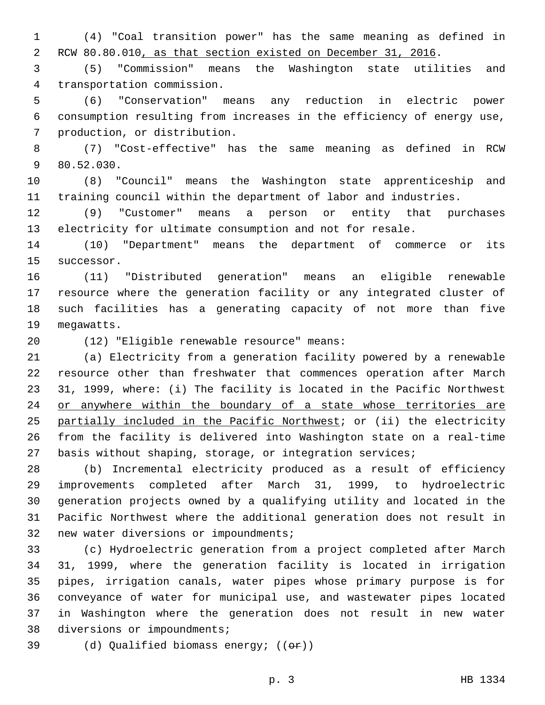(4) "Coal transition power" has the same meaning as defined in RCW 80.80.010, as that section existed on December 31, 2016.

 (5) "Commission" means the Washington state utilities and 4 transportation commission.

 (6) "Conservation" means any reduction in electric power consumption resulting from increases in the efficiency of energy use, 7 production, or distribution.

 (7) "Cost-effective" has the same meaning as defined in RCW 9 80.52.030.

 (8) "Council" means the Washington state apprenticeship and training council within the department of labor and industries.

 (9) "Customer" means a person or entity that purchases electricity for ultimate consumption and not for resale.

 (10) "Department" means the department of commerce or its 15 successor.

 (11) "Distributed generation" means an eligible renewable resource where the generation facility or any integrated cluster of such facilities has a generating capacity of not more than five 19 megawatts.

(12) "Eligible renewable resource" means:20

 (a) Electricity from a generation facility powered by a renewable resource other than freshwater that commences operation after March 31, 1999, where: (i) The facility is located in the Pacific Northwest 24 or anywhere within the boundary of a state whose territories are partially included in the Pacific Northwest; or (ii) the electricity from the facility is delivered into Washington state on a real-time basis without shaping, storage, or integration services;

 (b) Incremental electricity produced as a result of efficiency improvements completed after March 31, 1999, to hydroelectric generation projects owned by a qualifying utility and located in the Pacific Northwest where the additional generation does not result in 32 new water diversions or impoundments;

 (c) Hydroelectric generation from a project completed after March 31, 1999, where the generation facility is located in irrigation pipes, irrigation canals, water pipes whose primary purpose is for conveyance of water for municipal use, and wastewater pipes located in Washington where the generation does not result in new water 38 diversions or impoundments;

39 (d) Qualified biomass energy;  $((\theta \cdot \hat{r}))$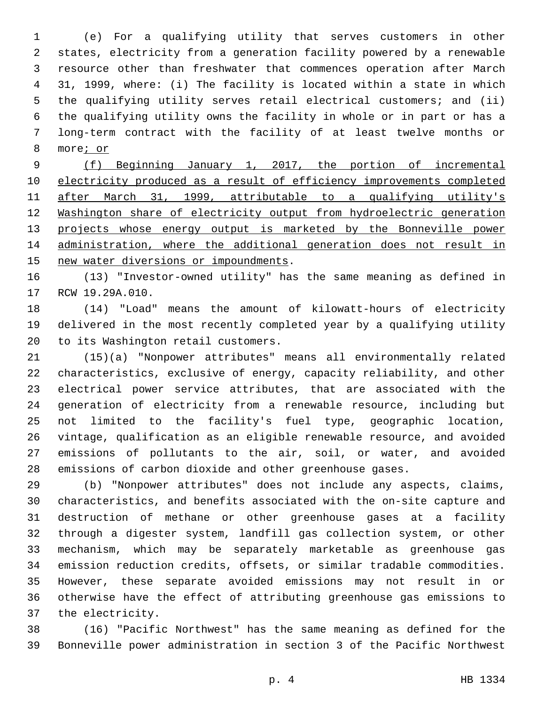(e) For a qualifying utility that serves customers in other states, electricity from a generation facility powered by a renewable resource other than freshwater that commences operation after March 31, 1999, where: (i) The facility is located within a state in which the qualifying utility serves retail electrical customers; and (ii) the qualifying utility owns the facility in whole or in part or has a long-term contract with the facility of at least twelve months or 8 more; or

 (f) Beginning January 1, 2017, the portion of incremental 10 electricity produced as a result of efficiency improvements completed after March 31, 1999, attributable to a qualifying utility's Washington share of electricity output from hydroelectric generation 13 projects whose energy output is marketed by the Bonneville power administration, where the additional generation does not result in 15 new water diversions or impoundments.

 (13) "Investor-owned utility" has the same meaning as defined in 17 RCW 19.29A.010.

 (14) "Load" means the amount of kilowatt-hours of electricity delivered in the most recently completed year by a qualifying utility 20 to its Washington retail customers.

 (15)(a) "Nonpower attributes" means all environmentally related characteristics, exclusive of energy, capacity reliability, and other electrical power service attributes, that are associated with the generation of electricity from a renewable resource, including but not limited to the facility's fuel type, geographic location, vintage, qualification as an eligible renewable resource, and avoided emissions of pollutants to the air, soil, or water, and avoided emissions of carbon dioxide and other greenhouse gases.

 (b) "Nonpower attributes" does not include any aspects, claims, characteristics, and benefits associated with the on-site capture and destruction of methane or other greenhouse gases at a facility through a digester system, landfill gas collection system, or other mechanism, which may be separately marketable as greenhouse gas emission reduction credits, offsets, or similar tradable commodities. However, these separate avoided emissions may not result in or otherwise have the effect of attributing greenhouse gas emissions to 37 the electricity.

 (16) "Pacific Northwest" has the same meaning as defined for the Bonneville power administration in section 3 of the Pacific Northwest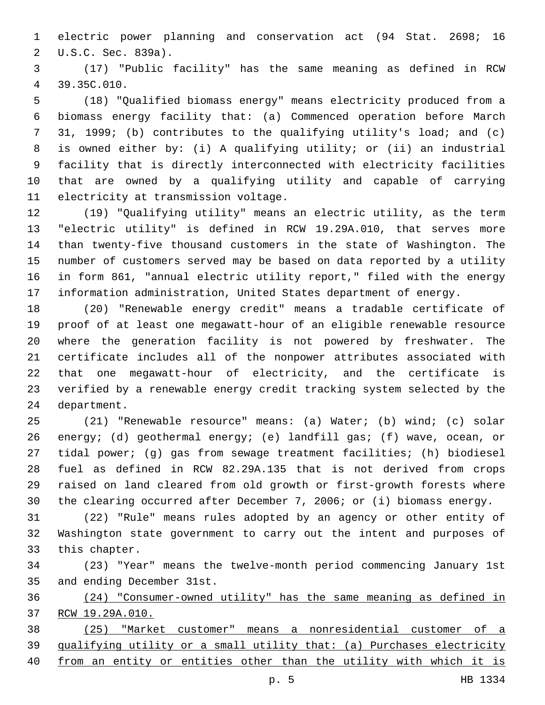electric power planning and conservation act (94 Stat. 2698; 16 2 U.S.C. Sec. 839a).

 (17) "Public facility" has the same meaning as defined in RCW 39.35C.010.4

 (18) "Qualified biomass energy" means electricity produced from a biomass energy facility that: (a) Commenced operation before March 31, 1999; (b) contributes to the qualifying utility's load; and (c) is owned either by: (i) A qualifying utility; or (ii) an industrial facility that is directly interconnected with electricity facilities that are owned by a qualifying utility and capable of carrying 11 electricity at transmission voltage.

 (19) "Qualifying utility" means an electric utility, as the term "electric utility" is defined in RCW 19.29A.010, that serves more than twenty-five thousand customers in the state of Washington. The number of customers served may be based on data reported by a utility in form 861, "annual electric utility report," filed with the energy information administration, United States department of energy.

 (20) "Renewable energy credit" means a tradable certificate of proof of at least one megawatt-hour of an eligible renewable resource where the generation facility is not powered by freshwater. The certificate includes all of the nonpower attributes associated with that one megawatt-hour of electricity, and the certificate is verified by a renewable energy credit tracking system selected by the 24 department.

 (21) "Renewable resource" means: (a) Water; (b) wind; (c) solar energy; (d) geothermal energy; (e) landfill gas; (f) wave, ocean, or tidal power; (g) gas from sewage treatment facilities; (h) biodiesel fuel as defined in RCW 82.29A.135 that is not derived from crops raised on land cleared from old growth or first-growth forests where the clearing occurred after December 7, 2006; or (i) biomass energy.

 (22) "Rule" means rules adopted by an agency or other entity of Washington state government to carry out the intent and purposes of 33 this chapter.

 (23) "Year" means the twelve-month period commencing January 1st 35 and ending December 31st.

 (24) "Consumer-owned utility" has the same meaning as defined in RCW 19.29A.010.

 (25) "Market customer" means a nonresidential customer of a qualifying utility or a small utility that: (a) Purchases electricity

40 from an entity or entities other than the utility with which it is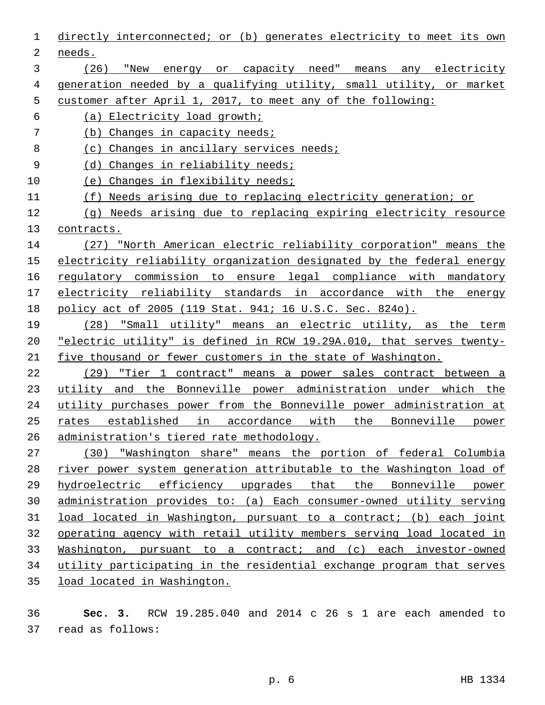directly interconnected; or (b) generates electricity to meet its own 2 needs. (26) "New energy or capacity need" means any electricity generation needed by a qualifying utility, small utility, or market customer after April 1, 2017, to meet any of the following: (a) Electricity load growth; (b) Changes in capacity needs; 8 (c) Changes in ancillary services needs; (d) Changes in reliability needs; (e) Changes in flexibility needs; (f) Needs arising due to replacing electricity generation; or (g) Needs arising due to replacing expiring electricity resource contracts. (27) "North American electric reliability corporation" means the 15 electricity reliability organization designated by the federal energy regulatory commission to ensure legal compliance with mandatory electricity reliability standards in accordance with the energy policy act of 2005 (119 Stat. 941; 16 U.S.C. Sec. 824o). (28) "Small utility" means an electric utility, as the term "electric utility" is defined in RCW 19.29A.010, that serves twenty- five thousand or fewer customers in the state of Washington. 22 (29) "Tier 1 contract" means a power sales contract between a utility and the Bonneville power administration under which the utility purchases power from the Bonneville power administration at rates established in accordance with the Bonneville power administration's tiered rate methodology. (30) "Washington share" means the portion of federal Columbia river power system generation attributable to the Washington load of hydroelectric efficiency upgrades that the Bonneville power administration provides to: (a) Each consumer-owned utility serving load located in Washington, pursuant to a contract; (b) each joint operating agency with retail utility members serving load located in Washington, pursuant to a contract; and (c) each investor-owned utility participating in the residential exchange program that serves load located in Washington.

 **Sec. 3.** RCW 19.285.040 and 2014 c 26 s 1 are each amended to read as follows:37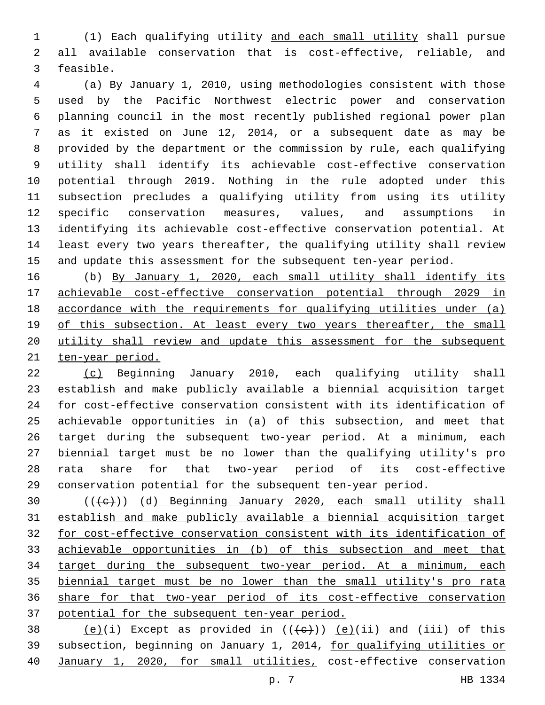(1) Each qualifying utility and each small utility shall pursue all available conservation that is cost-effective, reliable, and 3 feasible.

 (a) By January 1, 2010, using methodologies consistent with those used by the Pacific Northwest electric power and conservation planning council in the most recently published regional power plan as it existed on June 12, 2014, or a subsequent date as may be provided by the department or the commission by rule, each qualifying utility shall identify its achievable cost-effective conservation potential through 2019. Nothing in the rule adopted under this subsection precludes a qualifying utility from using its utility specific conservation measures, values, and assumptions in identifying its achievable cost-effective conservation potential. At least every two years thereafter, the qualifying utility shall review and update this assessment for the subsequent ten-year period.

 (b) By January 1, 2020, each small utility shall identify its achievable cost-effective conservation potential through 2029 in accordance with the requirements for qualifying utilities under (a) 19 of this subsection. At least every two years thereafter, the small 20 utility shall review and update this assessment for the subsequent ten-year period.

 (c) Beginning January 2010, each qualifying utility shall establish and make publicly available a biennial acquisition target for cost-effective conservation consistent with its identification of achievable opportunities in (a) of this subsection, and meet that target during the subsequent two-year period. At a minimum, each biennial target must be no lower than the qualifying utility's pro rata share for that two-year period of its cost-effective conservation potential for the subsequent ten-year period.

 (( $\leftarrow$ )) (d) Beginning January 2020, each small utility shall establish and make publicly available a biennial acquisition target for cost-effective conservation consistent with its identification of achievable opportunities in (b) of this subsection and meet that target during the subsequent two-year period. At a minimum, each biennial target must be no lower than the small utility's pro rata share for that two-year period of its cost-effective conservation potential for the subsequent ten-year period.

38  $(e)(i)$  Except as provided in  $((+e))$   $(e)(ii)$  and (iii) of this subsection, beginning on January 1, 2014, for qualifying utilities or January 1, 2020, for small utilities, cost-effective conservation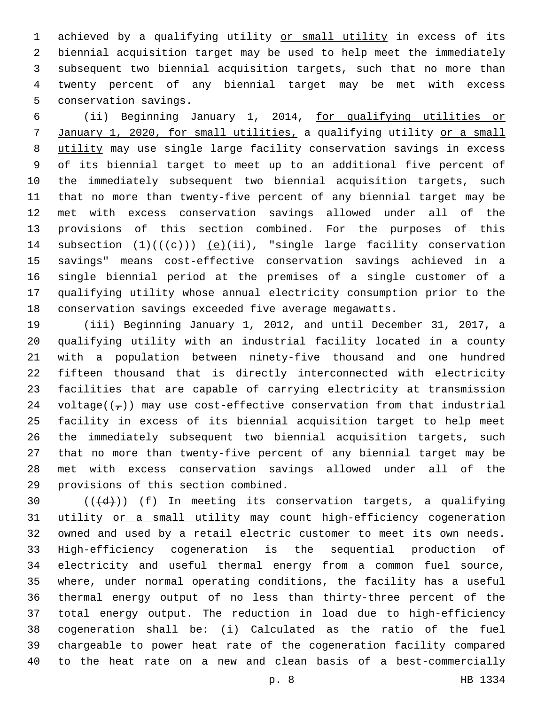1 achieved by a qualifying utility or small utility in excess of its biennial acquisition target may be used to help meet the immediately subsequent two biennial acquisition targets, such that no more than twenty percent of any biennial target may be met with excess 5 conservation savings.

 (ii) Beginning January 1, 2014, for qualifying utilities or January 1, 2020, for small utilities, a qualifying utility or a small utility may use single large facility conservation savings in excess of its biennial target to meet up to an additional five percent of the immediately subsequent two biennial acquisition targets, such that no more than twenty-five percent of any biennial target may be met with excess conservation savings allowed under all of the provisions of this section combined. For the purposes of this 14 subsection  $(1)((+e))$   $(e)(ii)$ , "single large facility conservation savings" means cost-effective conservation savings achieved in a single biennial period at the premises of a single customer of a qualifying utility whose annual electricity consumption prior to the conservation savings exceeded five average megawatts.

 (iii) Beginning January 1, 2012, and until December 31, 2017, a qualifying utility with an industrial facility located in a county with a population between ninety-five thousand and one hundred fifteen thousand that is directly interconnected with electricity facilities that are capable of carrying electricity at transmission 24 voltage( $(\tau)$ ) may use cost-effective conservation from that industrial facility in excess of its biennial acquisition target to help meet the immediately subsequent two biennial acquisition targets, such that no more than twenty-five percent of any biennial target may be met with excess conservation savings allowed under all of the 29 provisions of this section combined.

 $((+d))$   $(f)$  In meeting its conservation targets, a qualifying 31 utility or a small utility may count high-efficiency cogeneration owned and used by a retail electric customer to meet its own needs. High-efficiency cogeneration is the sequential production of electricity and useful thermal energy from a common fuel source, where, under normal operating conditions, the facility has a useful thermal energy output of no less than thirty-three percent of the total energy output. The reduction in load due to high-efficiency cogeneration shall be: (i) Calculated as the ratio of the fuel chargeable to power heat rate of the cogeneration facility compared to the heat rate on a new and clean basis of a best-commercially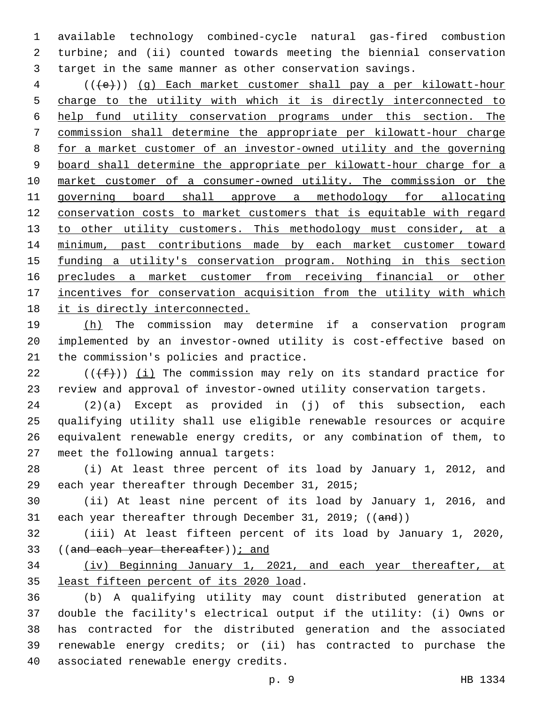available technology combined-cycle natural gas-fired combustion turbine; and (ii) counted towards meeting the biennial conservation target in the same manner as other conservation savings.

4 (((+e))) (g) Each market customer shall pay a per kilowatt-hour charge to the utility with which it is directly interconnected to help fund utility conservation programs under this section. The commission shall determine the appropriate per kilowatt-hour charge for a market customer of an investor-owned utility and the governing board shall determine the appropriate per kilowatt-hour charge for a market customer of a consumer-owned utility. The commission or the governing board shall approve a methodology for allocating conservation costs to market customers that is equitable with regard 13 to other utility customers. This methodology must consider, at a minimum, past contributions made by each market customer toward funding a utility's conservation program. Nothing in this section precludes a market customer from receiving financial or other 17 incentives for conservation acquisition from the utility with which it is directly interconnected.

 (h) The commission may determine if a conservation program implemented by an investor-owned utility is cost-effective based on 21 the commission's policies and practice.

22  $((\text{+f-})^2)$  (i) The commission may rely on its standard practice for review and approval of investor-owned utility conservation targets.

 (2)(a) Except as provided in (j) of this subsection, each qualifying utility shall use eligible renewable resources or acquire equivalent renewable energy credits, or any combination of them, to 27 meet the following annual targets:

 (i) At least three percent of its load by January 1, 2012, and 29 each year thereafter through December 31, 2015;

 (ii) At least nine percent of its load by January 1, 2016, and 31 each year thereafter through December 31, 2019; ((and))

 (iii) At least fifteen percent of its load by January 1, 2020, 33 ((and each year thereafter)); and

 (iv) Beginning January 1, 2021, and each year thereafter, at 35 least fifteen percent of its 2020 load.

 (b) A qualifying utility may count distributed generation at double the facility's electrical output if the utility: (i) Owns or has contracted for the distributed generation and the associated renewable energy credits; or (ii) has contracted to purchase the 40 associated renewable energy credits.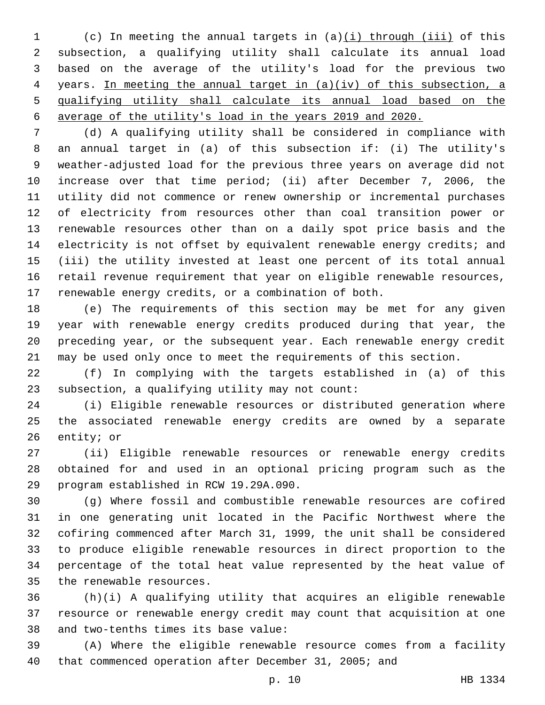(c) In meeting the annual targets in (a)(i) through (iii) of this subsection, a qualifying utility shall calculate its annual load based on the average of the utility's load for the previous two years. In meeting the annual target in (a)(iv) of this subsection, a qualifying utility shall calculate its annual load based on the average of the utility's load in the years 2019 and 2020.

 (d) A qualifying utility shall be considered in compliance with an annual target in (a) of this subsection if: (i) The utility's weather-adjusted load for the previous three years on average did not increase over that time period; (ii) after December 7, 2006, the utility did not commence or renew ownership or incremental purchases of electricity from resources other than coal transition power or renewable resources other than on a daily spot price basis and the electricity is not offset by equivalent renewable energy credits; and (iii) the utility invested at least one percent of its total annual retail revenue requirement that year on eligible renewable resources, renewable energy credits, or a combination of both.

 (e) The requirements of this section may be met for any given year with renewable energy credits produced during that year, the preceding year, or the subsequent year. Each renewable energy credit may be used only once to meet the requirements of this section.

 (f) In complying with the targets established in (a) of this subsection, a qualifying utility may not count:

 (i) Eligible renewable resources or distributed generation where the associated renewable energy credits are owned by a separate 26 entity; or

 (ii) Eligible renewable resources or renewable energy credits obtained for and used in an optional pricing program such as the 29 program established in RCW 19.29A.090.

 (g) Where fossil and combustible renewable resources are cofired in one generating unit located in the Pacific Northwest where the cofiring commenced after March 31, 1999, the unit shall be considered to produce eligible renewable resources in direct proportion to the percentage of the total heat value represented by the heat value of 35 the renewable resources.

 (h)(i) A qualifying utility that acquires an eligible renewable resource or renewable energy credit may count that acquisition at one 38 and two-tenths times its base value:

 (A) Where the eligible renewable resource comes from a facility that commenced operation after December 31, 2005; and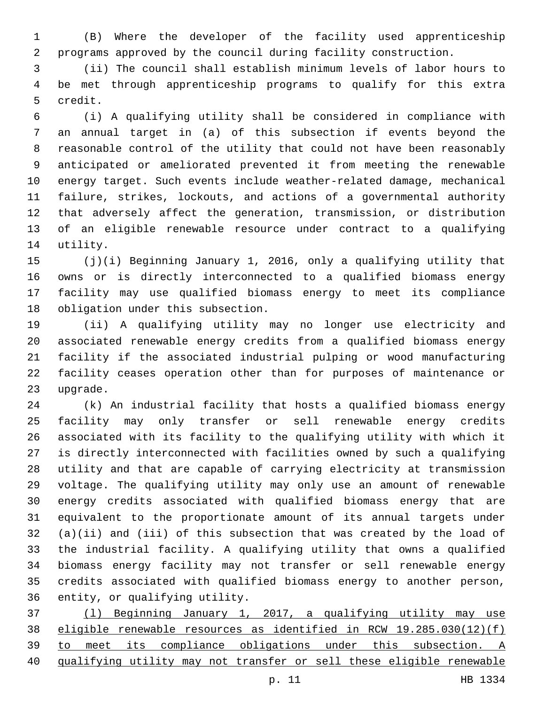(B) Where the developer of the facility used apprenticeship programs approved by the council during facility construction.

 (ii) The council shall establish minimum levels of labor hours to be met through apprenticeship programs to qualify for this extra 5 credit.

 (i) A qualifying utility shall be considered in compliance with an annual target in (a) of this subsection if events beyond the reasonable control of the utility that could not have been reasonably anticipated or ameliorated prevented it from meeting the renewable energy target. Such events include weather-related damage, mechanical failure, strikes, lockouts, and actions of a governmental authority that adversely affect the generation, transmission, or distribution of an eligible renewable resource under contract to a qualifying 14 utility.

 (j)(i) Beginning January 1, 2016, only a qualifying utility that owns or is directly interconnected to a qualified biomass energy facility may use qualified biomass energy to meet its compliance 18 obligation under this subsection.

 (ii) A qualifying utility may no longer use electricity and associated renewable energy credits from a qualified biomass energy facility if the associated industrial pulping or wood manufacturing facility ceases operation other than for purposes of maintenance or 23 upgrade.

 (k) An industrial facility that hosts a qualified biomass energy facility may only transfer or sell renewable energy credits associated with its facility to the qualifying utility with which it is directly interconnected with facilities owned by such a qualifying utility and that are capable of carrying electricity at transmission voltage. The qualifying utility may only use an amount of renewable energy credits associated with qualified biomass energy that are equivalent to the proportionate amount of its annual targets under (a)(ii) and (iii) of this subsection that was created by the load of the industrial facility. A qualifying utility that owns a qualified biomass energy facility may not transfer or sell renewable energy credits associated with qualified biomass energy to another person, 36 entity, or qualifying utility.

 (l) Beginning January 1, 2017, a qualifying utility may use eligible renewable resources as identified in RCW 19.285.030(12)(f) to meet its compliance obligations under this subsection. A qualifying utility may not transfer or sell these eligible renewable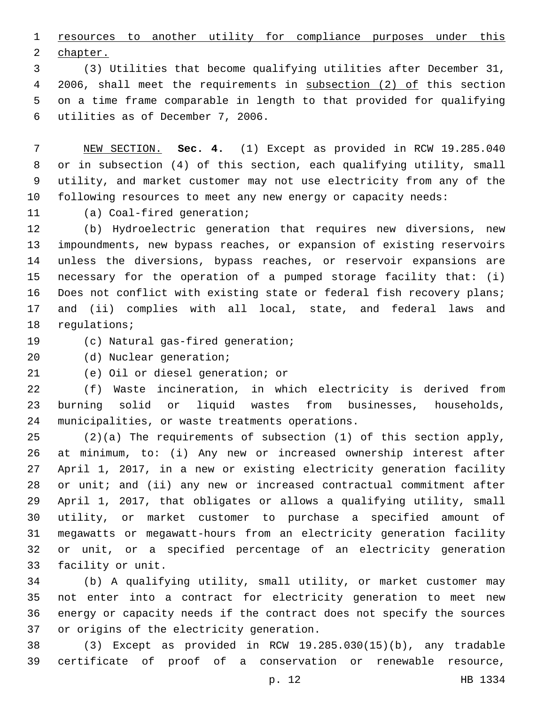resources to another utility for compliance purposes under this 2 chapter.

 (3) Utilities that become qualifying utilities after December 31, 2006, shall meet the requirements in subsection (2) of this section on a time frame comparable in length to that provided for qualifying 6 utilities as of December 7, 2006.

 NEW SECTION. **Sec. 4.** (1) Except as provided in RCW 19.285.040 or in subsection (4) of this section, each qualifying utility, small utility, and market customer may not use electricity from any of the following resources to meet any new energy or capacity needs:

11 (a) Coal-fired generation;

 (b) Hydroelectric generation that requires new diversions, new impoundments, new bypass reaches, or expansion of existing reservoirs unless the diversions, bypass reaches, or reservoir expansions are necessary for the operation of a pumped storage facility that: (i) Does not conflict with existing state or federal fish recovery plans; and (ii) complies with all local, state, and federal laws and 18 regulations;

19 (c) Natural gas-fired generation;

20 (d) Nuclear generation;

21 (e) Oil or diesel generation; or

 (f) Waste incineration, in which electricity is derived from burning solid or liquid wastes from businesses, households, 24 municipalities, or waste treatments operations.

 (2)(a) The requirements of subsection (1) of this section apply, at minimum, to: (i) Any new or increased ownership interest after April 1, 2017, in a new or existing electricity generation facility or unit; and (ii) any new or increased contractual commitment after April 1, 2017, that obligates or allows a qualifying utility, small utility, or market customer to purchase a specified amount of megawatts or megawatt-hours from an electricity generation facility or unit, or a specified percentage of an electricity generation 33 facility or unit.

 (b) A qualifying utility, small utility, or market customer may not enter into a contract for electricity generation to meet new energy or capacity needs if the contract does not specify the sources 37 or origins of the electricity generation.

 (3) Except as provided in RCW 19.285.030(15)(b), any tradable certificate of proof of a conservation or renewable resource,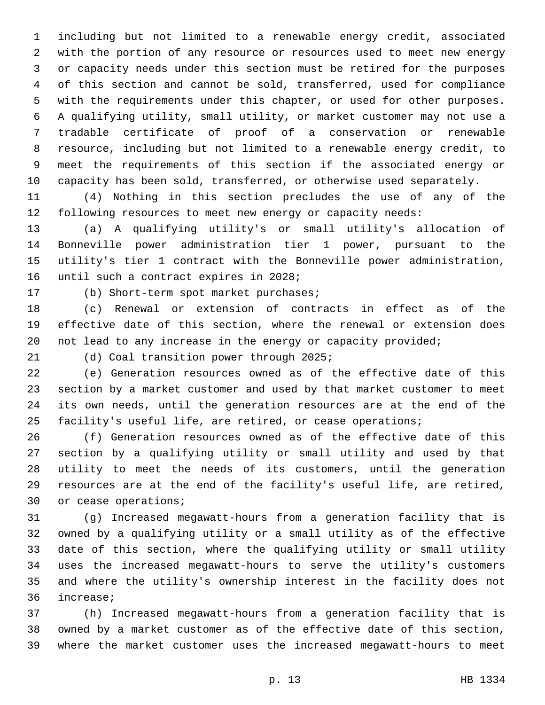including but not limited to a renewable energy credit, associated with the portion of any resource or resources used to meet new energy or capacity needs under this section must be retired for the purposes of this section and cannot be sold, transferred, used for compliance with the requirements under this chapter, or used for other purposes. A qualifying utility, small utility, or market customer may not use a tradable certificate of proof of a conservation or renewable resource, including but not limited to a renewable energy credit, to meet the requirements of this section if the associated energy or capacity has been sold, transferred, or otherwise used separately.

 (4) Nothing in this section precludes the use of any of the following resources to meet new energy or capacity needs:

 (a) A qualifying utility's or small utility's allocation of Bonneville power administration tier 1 power, pursuant to the utility's tier 1 contract with the Bonneville power administration, 16 until such a contract expires in 2028;

17 (b) Short-term spot market purchases;

 (c) Renewal or extension of contracts in effect as of the effective date of this section, where the renewal or extension does not lead to any increase in the energy or capacity provided;

21 (d) Coal transition power through 2025;

 (e) Generation resources owned as of the effective date of this section by a market customer and used by that market customer to meet its own needs, until the generation resources are at the end of the facility's useful life, are retired, or cease operations;

 (f) Generation resources owned as of the effective date of this section by a qualifying utility or small utility and used by that utility to meet the needs of its customers, until the generation resources are at the end of the facility's useful life, are retired, 30 or cease operations;

 (g) Increased megawatt-hours from a generation facility that is owned by a qualifying utility or a small utility as of the effective date of this section, where the qualifying utility or small utility uses the increased megawatt-hours to serve the utility's customers and where the utility's ownership interest in the facility does not 36 increase;

 (h) Increased megawatt-hours from a generation facility that is owned by a market customer as of the effective date of this section, where the market customer uses the increased megawatt-hours to meet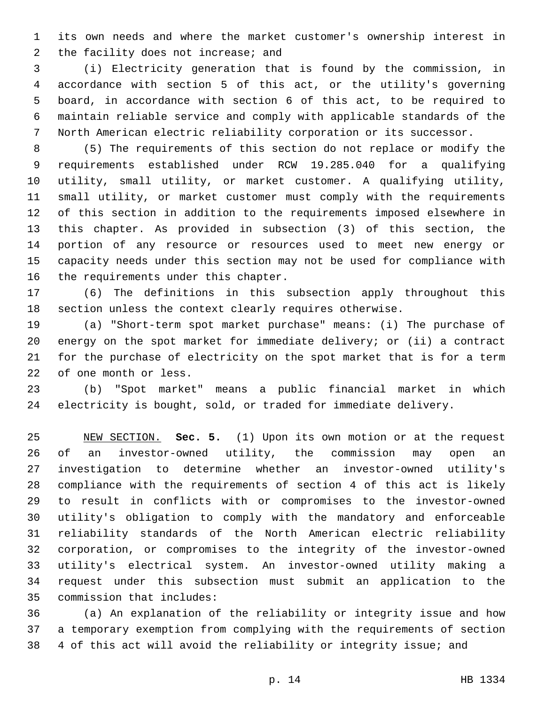its own needs and where the market customer's ownership interest in 2 the facility does not increase; and

 (i) Electricity generation that is found by the commission, in accordance with section 5 of this act, or the utility's governing board, in accordance with section 6 of this act, to be required to maintain reliable service and comply with applicable standards of the North American electric reliability corporation or its successor.

 (5) The requirements of this section do not replace or modify the requirements established under RCW 19.285.040 for a qualifying utility, small utility, or market customer. A qualifying utility, small utility, or market customer must comply with the requirements of this section in addition to the requirements imposed elsewhere in this chapter. As provided in subsection (3) of this section, the portion of any resource or resources used to meet new energy or capacity needs under this section may not be used for compliance with 16 the requirements under this chapter.

 (6) The definitions in this subsection apply throughout this section unless the context clearly requires otherwise.

 (a) "Short-term spot market purchase" means: (i) The purchase of energy on the spot market for immediate delivery; or (ii) a contract for the purchase of electricity on the spot market that is for a term 22 of one month or less.

 (b) "Spot market" means a public financial market in which electricity is bought, sold, or traded for immediate delivery.

 NEW SECTION. **Sec. 5.** (1) Upon its own motion or at the request of an investor-owned utility, the commission may open an investigation to determine whether an investor-owned utility's compliance with the requirements of section 4 of this act is likely to result in conflicts with or compromises to the investor-owned utility's obligation to comply with the mandatory and enforceable reliability standards of the North American electric reliability corporation, or compromises to the integrity of the investor-owned utility's electrical system. An investor-owned utility making a request under this subsection must submit an application to the commission that includes:

 (a) An explanation of the reliability or integrity issue and how a temporary exemption from complying with the requirements of section 4 of this act will avoid the reliability or integrity issue; and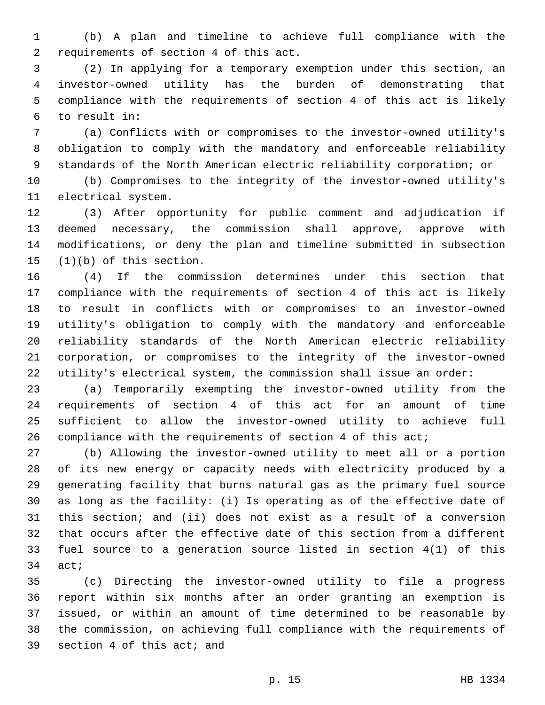(b) A plan and timeline to achieve full compliance with the 2 requirements of section 4 of this act.

 (2) In applying for a temporary exemption under this section, an investor-owned utility has the burden of demonstrating that compliance with the requirements of section 4 of this act is likely to result in:6

 (a) Conflicts with or compromises to the investor-owned utility's obligation to comply with the mandatory and enforceable reliability standards of the North American electric reliability corporation; or

 (b) Compromises to the integrity of the investor-owned utility's 11 electrical system.

 (3) After opportunity for public comment and adjudication if deemed necessary, the commission shall approve, approve with modifications, or deny the plan and timeline submitted in subsection  $(1)(b)$  of this section.

 (4) If the commission determines under this section that compliance with the requirements of section 4 of this act is likely to result in conflicts with or compromises to an investor-owned utility's obligation to comply with the mandatory and enforceable reliability standards of the North American electric reliability corporation, or compromises to the integrity of the investor-owned utility's electrical system, the commission shall issue an order:

 (a) Temporarily exempting the investor-owned utility from the requirements of section 4 of this act for an amount of time sufficient to allow the investor-owned utility to achieve full compliance with the requirements of section 4 of this act;

 (b) Allowing the investor-owned utility to meet all or a portion of its new energy or capacity needs with electricity produced by a generating facility that burns natural gas as the primary fuel source as long as the facility: (i) Is operating as of the effective date of this section; and (ii) does not exist as a result of a conversion that occurs after the effective date of this section from a different fuel source to a generation source listed in section 4(1) of this act;

 (c) Directing the investor-owned utility to file a progress report within six months after an order granting an exemption is issued, or within an amount of time determined to be reasonable by the commission, on achieving full compliance with the requirements of 39 section 4 of this act; and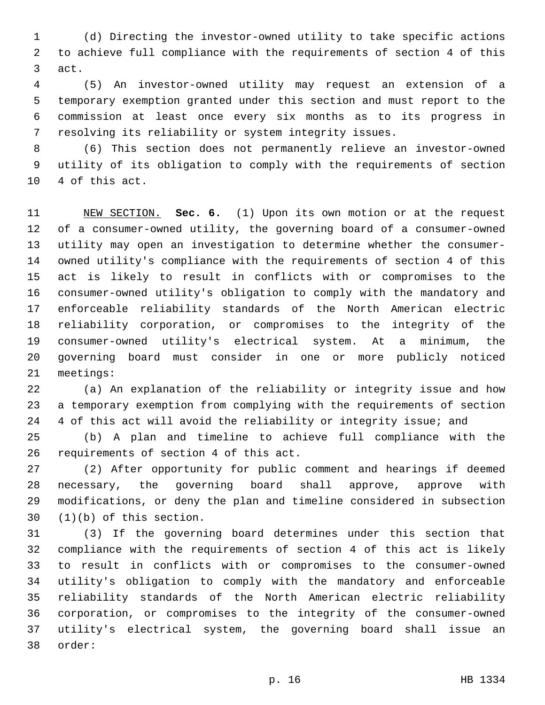(d) Directing the investor-owned utility to take specific actions to achieve full compliance with the requirements of section 4 of this 3 act.

 (5) An investor-owned utility may request an extension of a temporary exemption granted under this section and must report to the commission at least once every six months as to its progress in resolving its reliability or system integrity issues.

 (6) This section does not permanently relieve an investor-owned utility of its obligation to comply with the requirements of section 10 4 of this act.

 NEW SECTION. **Sec. 6.** (1) Upon its own motion or at the request of a consumer-owned utility, the governing board of a consumer-owned utility may open an investigation to determine whether the consumer- owned utility's compliance with the requirements of section 4 of this act is likely to result in conflicts with or compromises to the consumer-owned utility's obligation to comply with the mandatory and enforceable reliability standards of the North American electric reliability corporation, or compromises to the integrity of the consumer-owned utility's electrical system. At a minimum, the governing board must consider in one or more publicly noticed meetings:

 (a) An explanation of the reliability or integrity issue and how a temporary exemption from complying with the requirements of section 4 of this act will avoid the reliability or integrity issue; and

 (b) A plan and timeline to achieve full compliance with the 26 requirements of section 4 of this act.

 (2) After opportunity for public comment and hearings if deemed necessary, the governing board shall approve, approve with modifications, or deny the plan and timeline considered in subsection  $(1)(b)$  of this section.

 (3) If the governing board determines under this section that compliance with the requirements of section 4 of this act is likely to result in conflicts with or compromises to the consumer-owned utility's obligation to comply with the mandatory and enforceable reliability standards of the North American electric reliability corporation, or compromises to the integrity of the consumer-owned utility's electrical system, the governing board shall issue an 38 order: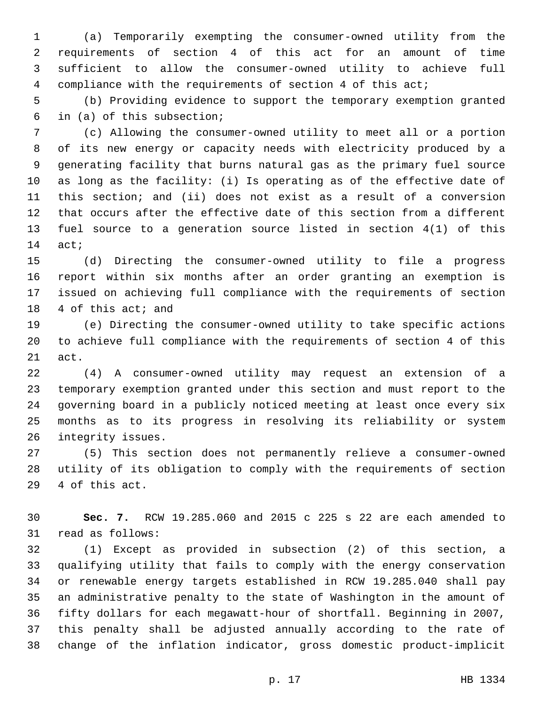(a) Temporarily exempting the consumer-owned utility from the requirements of section 4 of this act for an amount of time sufficient to allow the consumer-owned utility to achieve full compliance with the requirements of section 4 of this act;

 (b) Providing evidence to support the temporary exemption granted in (a) of this subsection;

 (c) Allowing the consumer-owned utility to meet all or a portion of its new energy or capacity needs with electricity produced by a generating facility that burns natural gas as the primary fuel source as long as the facility: (i) Is operating as of the effective date of this section; and (ii) does not exist as a result of a conversion that occurs after the effective date of this section from a different fuel source to a generation source listed in section 4(1) of this 14 act;

 (d) Directing the consumer-owned utility to file a progress report within six months after an order granting an exemption is issued on achieving full compliance with the requirements of section 18 4 of this act; and

 (e) Directing the consumer-owned utility to take specific actions to achieve full compliance with the requirements of section 4 of this 21 act.

 (4) A consumer-owned utility may request an extension of a temporary exemption granted under this section and must report to the governing board in a publicly noticed meeting at least once every six months as to its progress in resolving its reliability or system 26 integrity issues.

 (5) This section does not permanently relieve a consumer-owned utility of its obligation to comply with the requirements of section 29 4 of this act.

 **Sec. 7.** RCW 19.285.060 and 2015 c 225 s 22 are each amended to 31 read as follows:

 (1) Except as provided in subsection (2) of this section, a qualifying utility that fails to comply with the energy conservation or renewable energy targets established in RCW 19.285.040 shall pay an administrative penalty to the state of Washington in the amount of fifty dollars for each megawatt-hour of shortfall. Beginning in 2007, this penalty shall be adjusted annually according to the rate of change of the inflation indicator, gross domestic product-implicit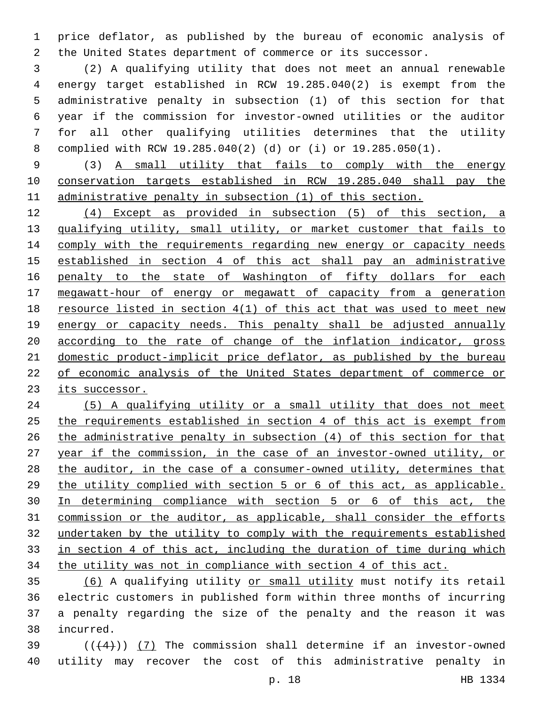price deflator, as published by the bureau of economic analysis of the United States department of commerce or its successor.

 (2) A qualifying utility that does not meet an annual renewable energy target established in RCW 19.285.040(2) is exempt from the administrative penalty in subsection (1) of this section for that year if the commission for investor-owned utilities or the auditor for all other qualifying utilities determines that the utility complied with RCW 19.285.040(2) (d) or (i) or 19.285.050(1).

 (3) A small utility that fails to comply with the energy conservation targets established in RCW 19.285.040 shall pay the administrative penalty in subsection (1) of this section.

 (4) Except as provided in subsection (5) of this section, a qualifying utility, small utility, or market customer that fails to 14 comply with the requirements regarding new energy or capacity needs established in section 4 of this act shall pay an administrative 16 penalty to the state of Washington of fifty dollars for each megawatt-hour of energy or megawatt of capacity from a generation resource listed in section 4(1) of this act that was used to meet new 19 energy or capacity needs. This penalty shall be adjusted annually according to the rate of change of the inflation indicator, gross domestic product-implicit price deflator, as published by the bureau of economic analysis of the United States department of commerce or its successor.

 (5) A qualifying utility or a small utility that does not meet the requirements established in section 4 of this act is exempt from the administrative penalty in subsection (4) of this section for that year if the commission, in the case of an investor-owned utility, or the auditor, in the case of a consumer-owned utility, determines that the utility complied with section 5 or 6 of this act, as applicable. In determining compliance with section 5 or 6 of this act, the commission or the auditor, as applicable, shall consider the efforts undertaken by the utility to comply with the requirements established in section 4 of this act, including the duration of time during which the utility was not in compliance with section 4 of this act.

 (6) A qualifying utility or small utility must notify its retail electric customers in published form within three months of incurring a penalty regarding the size of the penalty and the reason it was incurred.38

39  $((+4))$  (7) The commission shall determine if an investor-owned utility may recover the cost of this administrative penalty in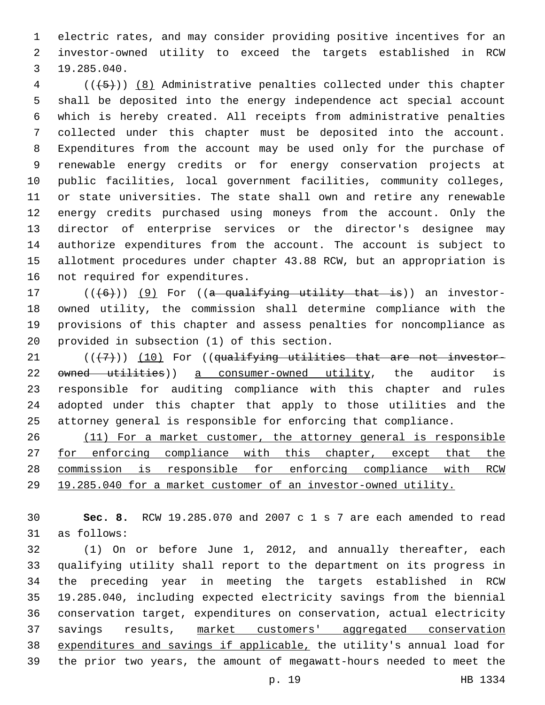electric rates, and may consider providing positive incentives for an investor-owned utility to exceed the targets established in RCW 19.285.040.3

 ( $(\overline{\smash{+5}})$ ) (8) Administrative penalties collected under this chapter shall be deposited into the energy independence act special account which is hereby created. All receipts from administrative penalties collected under this chapter must be deposited into the account. Expenditures from the account may be used only for the purchase of renewable energy credits or for energy conservation projects at public facilities, local government facilities, community colleges, or state universities. The state shall own and retire any renewable energy credits purchased using moneys from the account. Only the director of enterprise services or the director's designee may authorize expenditures from the account. The account is subject to allotment procedures under chapter 43.88 RCW, but an appropriation is 16 not required for expenditures.

 $((+6))$   $(9)$  For ((a qualifying utility that is)) an investor- owned utility, the commission shall determine compliance with the provisions of this chapter and assess penalties for noncompliance as 20 provided in subsection (1) of this section.

 $(1)$  ( $(1)$ ) (10) For ((qualifying utilities that are not investor-22 owned utilities)) a consumer-owned utility, the auditor is responsible for auditing compliance with this chapter and rules adopted under this chapter that apply to those utilities and the attorney general is responsible for enforcing that compliance.

 (11) For a market customer, the attorney general is responsible 27 for enforcing compliance with this chapter, except that the commission is responsible for enforcing compliance with RCW 19.285.040 for a market customer of an investor-owned utility.

 **Sec. 8.** RCW 19.285.070 and 2007 c 1 s 7 are each amended to read 31 as follows:

 (1) On or before June 1, 2012, and annually thereafter, each qualifying utility shall report to the department on its progress in the preceding year in meeting the targets established in RCW 19.285.040, including expected electricity savings from the biennial conservation target, expenditures on conservation, actual electricity savings results, market customers' aggregated conservation expenditures and savings if applicable, the utility's annual load for the prior two years, the amount of megawatt-hours needed to meet the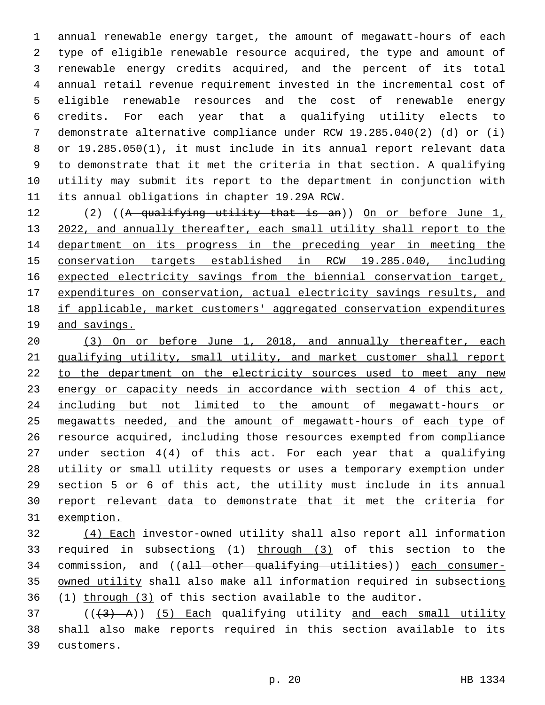annual renewable energy target, the amount of megawatt-hours of each type of eligible renewable resource acquired, the type and amount of renewable energy credits acquired, and the percent of its total annual retail revenue requirement invested in the incremental cost of eligible renewable resources and the cost of renewable energy credits. For each year that a qualifying utility elects to demonstrate alternative compliance under RCW 19.285.040(2) (d) or (i) or 19.285.050(1), it must include in its annual report relevant data to demonstrate that it met the criteria in that section. A qualifying utility may submit its report to the department in conjunction with 11 its annual obligations in chapter 19.29A RCW.

 (2) ((A qualifying utility that is an)) On or before June 1, 2022, and annually thereafter, each small utility shall report to the department on its progress in the preceding year in meeting the conservation targets established in RCW 19.285.040, including expected electricity savings from the biennial conservation target, expenditures on conservation, actual electricity savings results, and if applicable, market customers' aggregated conservation expenditures and savings.

 (3) On or before June 1, 2018, and annually thereafter, each qualifying utility, small utility, and market customer shall report 22 to the department on the electricity sources used to meet any new 23 energy or capacity needs in accordance with section 4 of this act, including but not limited to the amount of megawatt-hours or megawatts needed, and the amount of megawatt-hours of each type of resource acquired, including those resources exempted from compliance under section 4(4) of this act. For each year that a qualifying utility or small utility requests or uses a temporary exemption under section 5 or 6 of this act, the utility must include in its annual report relevant data to demonstrate that it met the criteria for exemption.

 (4) Each investor-owned utility shall also report all information required in subsections (1) through (3) of this section to the 34 commission, and ((all other qualifying utilities)) each consumer-35 owned utility shall also make all information required in subsections (1) through (3) of this section available to the auditor.

 ( $(\overline{3}$  A)) (5) Each qualifying utility and each small utility shall also make reports required in this section available to its 39 customers.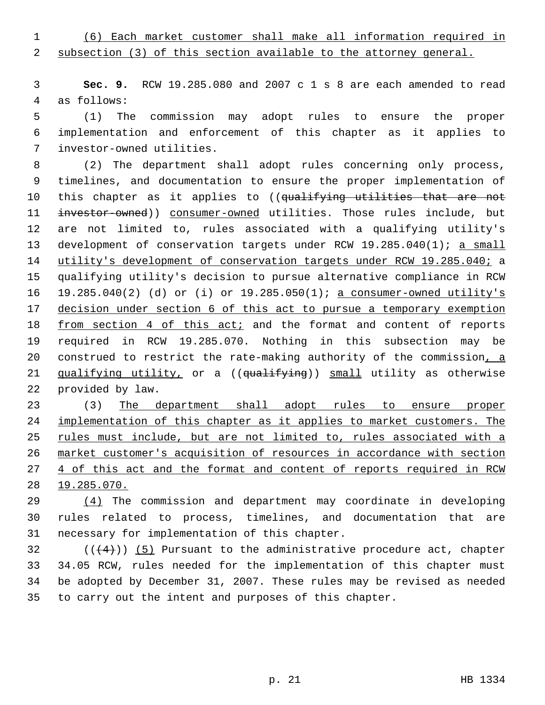(6) Each market customer shall make all information required in

subsection (3) of this section available to the attorney general.

 **Sec. 9.** RCW 19.285.080 and 2007 c 1 s 8 are each amended to read 4 as follows:

 (1) The commission may adopt rules to ensure the proper implementation and enforcement of this chapter as it applies to investor-owned utilities.7

 (2) The department shall adopt rules concerning only process, timelines, and documentation to ensure the proper implementation of 10 this chapter as it applies to ((qualifying utilities that are not 11 investor-owned)) consumer-owned utilities. Those rules include, but are not limited to, rules associated with a qualifying utility's 13 development of conservation targets under RCW 19.285.040(1); a small utility's development of conservation targets under RCW 19.285.040; a qualifying utility's decision to pursue alternative compliance in RCW 19.285.040(2) (d) or (i) or 19.285.050(1); a consumer-owned utility's decision under section 6 of this act to pursue a temporary exemption 18 from section 4 of this act; and the format and content of reports required in RCW 19.285.070. Nothing in this subsection may be 20 construed to restrict the rate-making authority of the commission, a 21 qualifying utility, or a ((qualifying)) small utility as otherwise 22 provided by law.

 (3) The department shall adopt rules to ensure proper implementation of this chapter as it applies to market customers. The rules must include, but are not limited to, rules associated with a market customer's acquisition of resources in accordance with section 27 4 of this act and the format and content of reports required in RCW 19.285.070.

 (4) The commission and department may coordinate in developing rules related to process, timelines, and documentation that are 31 necessary for implementation of this chapter.

 (( $(4)$ )) (5) Pursuant to the administrative procedure act, chapter 34.05 RCW, rules needed for the implementation of this chapter must be adopted by December 31, 2007. These rules may be revised as needed to carry out the intent and purposes of this chapter.